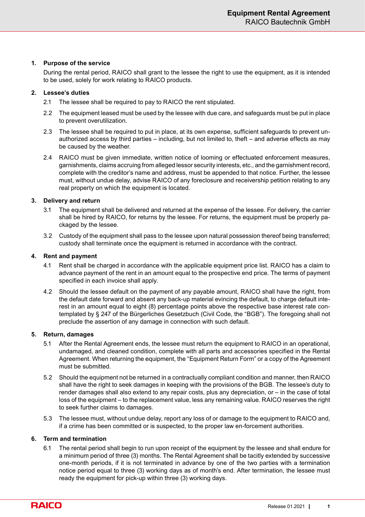## **1. Purpose of the service**

During the rental period, RAICO shall grant to the lessee the right to use the equipment, as it is intended to be used, solely for work relating to RAICO products.

# **2. Lessee's duties**

- 2.1 The lessee shall be required to pay to RAICO the rent stipulated.
- 2.2 The equipment leased must be used by the lessee with due care, and safeguards must be put in place to prevent overutilization.
- 2.3 The lessee shall be required to put in place, at its own expense, sufficient safeguards to prevent unauthorized access by third parties – including, but not limited to, theft – and adverse effects as may be caused by the weather.
- 2.4 RAICO must be given immediate, written notice of looming or effectuated enforcement measures, garnishments, claims accruing from alleged lessor security interests, etc., and the garnishment record, complete with the creditor's name and address, must be appended to that notice. Further, the lessee must, without undue delay, advise RAICO of any foreclosure and receivership petition relating to any real property on which the equipment is located.

# **3. Delivery and return**

- 3.1 The equipment shall be delivered and returned at the expense of the lessee. For delivery, the carrier shall be hired by RAICO, for returns by the lessee. For returns, the equipment must be properly packaged by the lessee.
- 3.2 Custody of the equipment shall pass to the lessee upon natural possession thereof being transferred; custody shall terminate once the equipment is returned in accordance with the contract.

# **4. Rent and payment**

- 4.1 Rent shall be charged in accordance with the applicable equipment price list. RAICO has a claim to advance payment of the rent in an amount equal to the prospective end price. The terms of payment specified in each invoice shall apply.
- 4.2 Should the lessee default on the payment of any payable amount, RAICO shall have the right, from the default date forward and absent any back-up material evincing the default, to charge default interest in an amount equal to eight (8) percentage points above the respective base interest rate contemplated by § 247 of the Bürgerliches Gesetzbuch (Civil Code, the "BGB"). The foregoing shall not preclude the assertion of any damage in connection with such default.

## **5. Return, damages**

- 5.1 After the Rental Agreement ends, the lessee must return the equipment to RAICO in an operational, undamaged, and cleaned condition, complete with all parts and accessories specified in the Rental Agreement. When returning the equipment, the "Equipment Return Form" or a copy of the Agreement must be submitted.
- 5.2 Should the equipment not be returned in a contractually compliant condition and manner, then RAICO shall have the right to seek damages in keeping with the provisions of the BGB. The lessee's duty to render damages shall also extend to any repair costs, plus any depreciation, or – in the case of total loss of the equipment – to the replacement value, less any remaining value. RAICO reserves the right to seek further claims to damages.
- 5.3 The lessee must, without undue delay, report any loss of or damage to the equipment to RAICO and, if a crime has been committed or is suspected, to the proper law en-forcement authorities.

## **6. Term and termination**

6.1 The rental period shall begin to run upon receipt of the equipment by the lessee and shall endure for a minimum period of three (3) months. The Rental Agreement shall be tacitly extended by successive one-month periods, if it is not terminated in advance by one of the two parties with a termination notice period equal to three (3) working days as of month's end. After termination, the lessee must ready the equipment for pick-up within three (3) working days.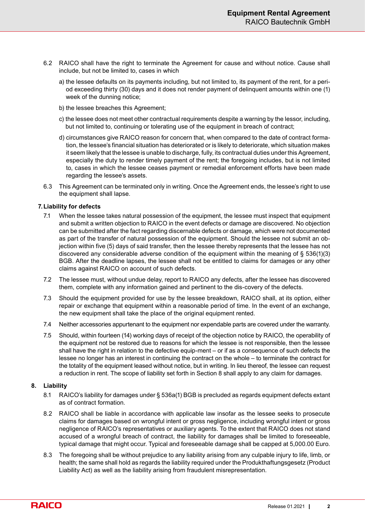- 6.2 RAICO shall have the right to terminate the Agreement for cause and without notice. Cause shall include, but not be limited to, cases in which
	- a) the lessee defaults on its payments including, but not limited to, its payment of the rent, for a period exceeding thirty (30) days and it does not render payment of delinquent amounts within one (1) week of the dunning notice;
	- b) the lessee breaches this Agreement;
	- c) the lessee does not meet other contractual requirements despite a warning by the lessor, including, but not limited to, continuing or tolerating use of the equipment in breach of contract;
	- d) circumstances give RAICO reason for concern that, when compared to the date of contract formation, the lessee's financial situation has deteriorated or is likely to deteriorate, which situation makes it seem likely that the lessee is unable to discharge, fully, its contractual duties under this Agreement, especially the duty to render timely payment of the rent; the foregoing includes, but is not limited to, cases in which the lessee ceases payment or remedial enforcement efforts have been made regarding the lessee's assets.
- 6.3 This Agreement can be terminated only in writing. Once the Agreement ends, the lessee's right to use the equipment shall lapse.

#### **7.Liability for defects**

- 7.1 When the lessee takes natural possession of the equipment, the lessee must inspect that equipment and submit a written objection to RAICO in the event defects or damage are discovered. No objection can be submitted after the fact regarding discernable defects or damage, which were not documented as part of the transfer of natural possession of the equipment. Should the lessee not submit an objection within five (5) days of said transfer, then the lessee thereby represents that the lessee has not discovered any considerable adverse condition of the equipment within the meaning of  $\S$  536(1)(3) BGB. After the deadline lapses, the lessee shall not be entitled to claims for damages or any other claims against RAICO on account of such defects.
- 7.2 The lessee must, without undue delay, report to RAICO any defects, after the lessee has discovered them, complete with any information gained and pertinent to the dis-covery of the defects.
- 7.3 Should the equipment provided for use by the lessee breakdown, RAICO shall, at its option, either repair or exchange that equipment within a reasonable period of time. In the event of an exchange, the new equipment shall take the place of the original equipment rented.
- 7.4 Neither accessories appurtenant to the equipment nor expendable parts are covered under the warranty.
- 7.5 Should, within fourteen (14) working days of receipt of the objection notice by RAICO, the operability of the equipment not be restored due to reasons for which the lessee is not responsible, then the lessee shall have the right in relation to the defective equip-ment – or if as a consequence of such defects the lessee no longer has an interest in continuing the contract on the whole – to terminate the contract for the totality of the equipment leased without notice, but in writing. In lieu thereof, the lessee can request a reduction in rent. The scope of liability set forth in Section 8 shall apply to any claim for damages.

#### **8. Liability**

- 8.1 RAICO's liability for damages under § 536a(1) BGB is precluded as regards equipment defects extant as of contract formation.
- 8.2 RAICO shall be liable in accordance with applicable law insofar as the lessee seeks to prosecute claims for damages based on wrongful intent or gross negligence, including wrongful intent or gross negligence of RAICO's representatives or auxiliary agents. To the extent that RAICO does not stand accused of a wrongful breach of contract, the liability for damages shall be limited to foreseeable, typical damage that might occur. Typical and foreseeable damage shall be capped at 5,000.00 Euro.
- 8.3 The foregoing shall be without prejudice to any liability arising from any culpable injury to life, limb, or health; the same shall hold as regards the liability required under the Produkthaftungsgesetz (Product Liability Act) as well as the liability arising from fraudulent misrepresentation.